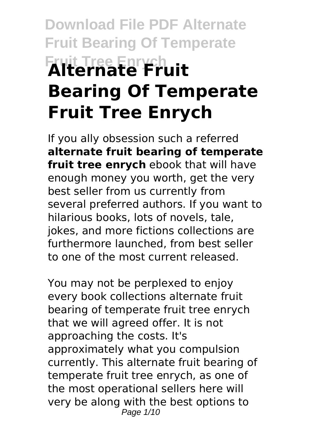# **Download File PDF Alternate Fruit Bearing Of Temperate Fruit Tree Enrych Alternate Fruit Bearing Of Temperate Fruit Tree Enrych**

If you ally obsession such a referred **alternate fruit bearing of temperate fruit tree enrych** ebook that will have enough money you worth, get the very best seller from us currently from several preferred authors. If you want to hilarious books, lots of novels, tale, jokes, and more fictions collections are furthermore launched, from best seller to one of the most current released.

You may not be perplexed to enjoy every book collections alternate fruit bearing of temperate fruit tree enrych that we will agreed offer. It is not approaching the costs. It's approximately what you compulsion currently. This alternate fruit bearing of temperate fruit tree enrych, as one of the most operational sellers here will very be along with the best options to Page 1/10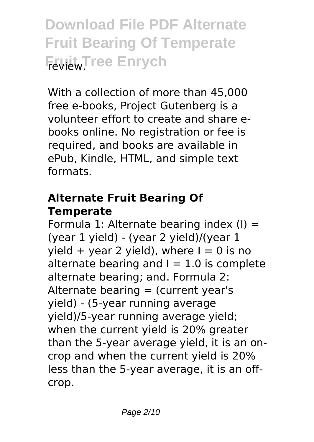**Download File PDF Alternate Fruit Bearing Of Temperate Fruit** Tree Enrych

With a collection of more than 45,000 free e-books, Project Gutenberg is a volunteer effort to create and share ebooks online. No registration or fee is required, and books are available in ePub, Kindle, HTML, and simple text formats.

### **Alternate Fruit Bearing Of Temperate**

Formula 1: Alternate bearing index  $(I)$  = (year 1 yield) - (year 2 yield)/(year 1 yield + year 2 yield), where  $I = 0$  is no alternate bearing and  $I = 1.0$  is complete alternate bearing; and. Formula 2: Alternate bearing  $=$  (current year's yield) - (5-year running average yield)/5-year running average yield; when the current yield is 20% greater than the 5-year average yield, it is an oncrop and when the current yield is 20% less than the 5-year average, it is an offcrop.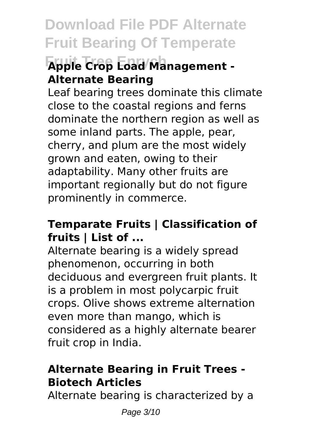# **Fruit Tree Enrych Apple Crop Load Management - Alternate Bearing**

Leaf bearing trees dominate this climate close to the coastal regions and ferns dominate the northern region as well as some inland parts. The apple, pear, cherry, and plum are the most widely grown and eaten, owing to their adaptability. Many other fruits are important regionally but do not figure prominently in commerce.

### **Temparate Fruits | Classification of fruits | List of ...**

Alternate bearing is a widely spread phenomenon, occurring in both deciduous and evergreen fruit plants. It is a problem in most polycarpic fruit crops. Olive shows extreme alternation even more than mango, which is considered as a highly alternate bearer fruit crop in India.

### **Alternate Bearing in Fruit Trees - Biotech Articles**

Alternate bearing is characterized by a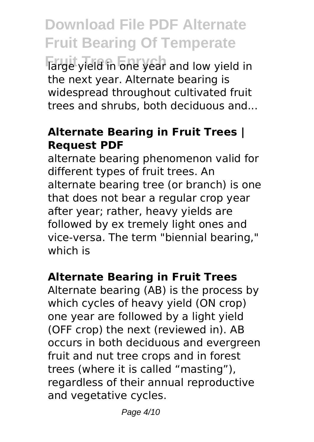**Farge yield in one year and low yield in** the next year. Alternate bearing is widespread throughout cultivated fruit trees and shrubs, both deciduous and...

#### **Alternate Bearing in Fruit Trees | Request PDF**

alternate bearing phenomenon valid for different types of fruit trees. An alternate bearing tree (or branch) is one that does not bear a regular crop year after year; rather, heavy yields are followed by ex tremely light ones and vice-versa. The term "biennial bearing," which is

#### **Alternate Bearing in Fruit Trees**

Alternate bearing (AB) is the process by which cycles of heavy yield (ON crop) one year are followed by a light yield (OFF crop) the next (reviewed in). AB occurs in both deciduous and evergreen fruit and nut tree crops and in forest trees (where it is called "masting"), regardless of their annual reproductive and vegetative cycles.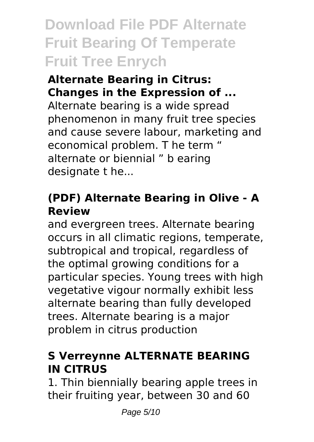**Download File PDF Alternate Fruit Bearing Of Temperate Fruit Tree Enrych**

### **Alternate Bearing in Citrus: Changes in the Expression of ...**

Alternate bearing is a wide spread phenomenon in many fruit tree species and cause severe labour, marketing and economical problem. T he term " alternate or biennial " b earing designate t he...

# **(PDF) Alternate Bearing in Olive - A Review**

and evergreen trees. Alternate bearing occurs in all climatic regions, temperate, subtropical and tropical, regardless of the optimal growing conditions for a particular species. Young trees with high vegetative vigour normally exhibit less alternate bearing than fully developed trees. Alternate bearing is a major problem in citrus production

# **S Verreynne ALTERNATE BEARING IN CITRUS**

1. Thin biennially bearing apple trees in their fruiting year, between 30 and 60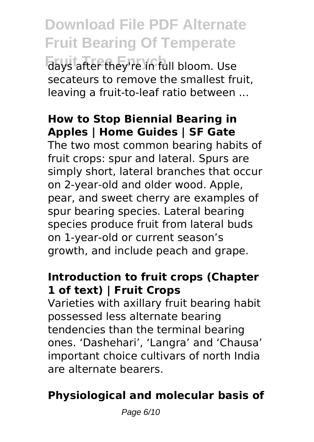**Download File PDF Alternate Fruit Bearing Of Temperate** days after they're in full bloom. Use secateurs to remove the smallest fruit, leaving a fruit-to-leaf ratio between ...

# **How to Stop Biennial Bearing in Apples | Home Guides | SF Gate**

The two most common bearing habits of fruit crops: spur and lateral. Spurs are simply short, lateral branches that occur on 2-year-old and older wood. Apple, pear, and sweet cherry are examples of spur bearing species. Lateral bearing species produce fruit from lateral buds on 1-year-old or current season's growth, and include peach and grape.

### **Introduction to fruit crops (Chapter 1 of text) | Fruit Crops**

Varieties with axillary fruit bearing habit possessed less alternate bearing tendencies than the terminal bearing ones. 'Dashehari', 'Langra' and 'Chausa' important choice cultivars of north India are alternate bearers.

# **Physiological and molecular basis of**

Page 6/10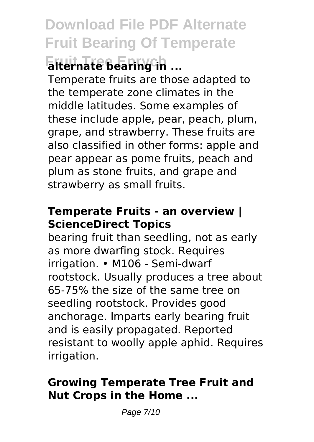# **Download File PDF Alternate Fruit Bearing Of Temperate Fruit Tree Enrych alternate bearing in ...**

Temperate fruits are those adapted to the temperate zone climates in the middle latitudes. Some examples of these include apple, pear, peach, plum, grape, and strawberry. These fruits are also classified in other forms: apple and pear appear as pome fruits, peach and plum as stone fruits, and grape and strawberry as small fruits.

### **Temperate Fruits - an overview | ScienceDirect Topics**

bearing fruit than seedling, not as early as more dwarfing stock. Requires irrigation. • M106 - Semi-dwarf rootstock. Usually produces a tree about 65-75% the size of the same tree on seedling rootstock. Provides good anchorage. Imparts early bearing fruit and is easily propagated. Reported resistant to woolly apple aphid. Requires irrigation.

### **Growing Temperate Tree Fruit and Nut Crops in the Home ...**

Page 7/10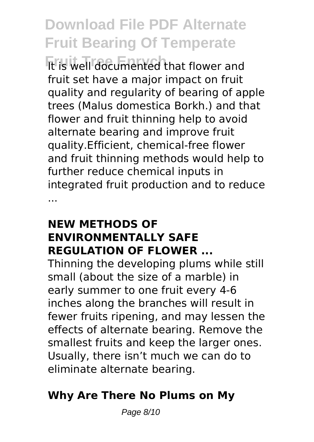**It is well documented that flower and** fruit set have a major impact on fruit quality and regularity of bearing of apple trees (Malus domestica Borkh.) and that flower and fruit thinning help to avoid alternate bearing and improve fruit quality.Efficient, chemical-free flower and fruit thinning methods would help to further reduce chemical inputs in integrated fruit production and to reduce ...

#### **NEW METHODS OF ENVIRONMENTALLY SAFE REGULATION OF FLOWER ...**

Thinning the developing plums while still small (about the size of a marble) in early summer to one fruit every 4-6 inches along the branches will result in fewer fruits ripening, and may lessen the effects of alternate bearing. Remove the smallest fruits and keep the larger ones. Usually, there isn't much we can do to eliminate alternate bearing.

# **Why Are There No Plums on My**

Page 8/10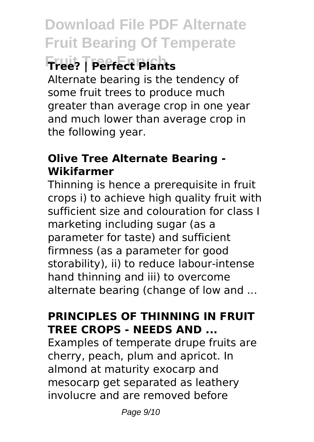# **Fruit Tree Enrych Tree? | Perfect Plants**

Alternate bearing is the tendency of some fruit trees to produce much greater than average crop in one year and much lower than average crop in the following year.

# **Olive Tree Alternate Bearing - Wikifarmer**

Thinning is hence a prerequisite in fruit crops i) to achieve high quality fruit with sufficient size and colouration for class I marketing including sugar (as a parameter for taste) and sufficient firmness (as a parameter for good storability), ii) to reduce labour-intense hand thinning and iii) to overcome alternate bearing (change of low and ...

### **PRINCIPLES OF THINNING IN FRUIT TREE CROPS - NEEDS AND ...**

Examples of temperate drupe fruits are cherry, peach, plum and apricot. In almond at maturity exocarp and mesocarp get separated as leathery involucre and are removed before